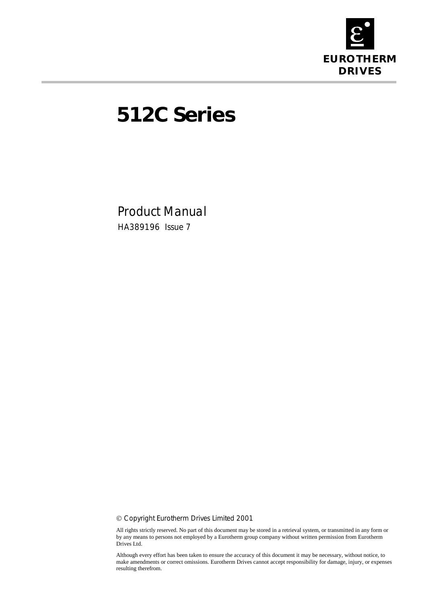

# **512C Series**

Product Manual HA389196 Issue 7

! Copyright Eurotherm Drives Limited 2001

All rights strictly reserved. No part of this document may be stored in a retrieval system, or transmitted in any form or by any means to persons not employed by a Eurotherm group company without written permission from Eurotherm Drives Ltd.

Although every effort has been taken to ensure the accuracy of this document it may be necessary, without notice, to make amendments or correct omissions. Eurotherm Drives cannot accept responsibility for damage, injury, or expenses resulting therefrom.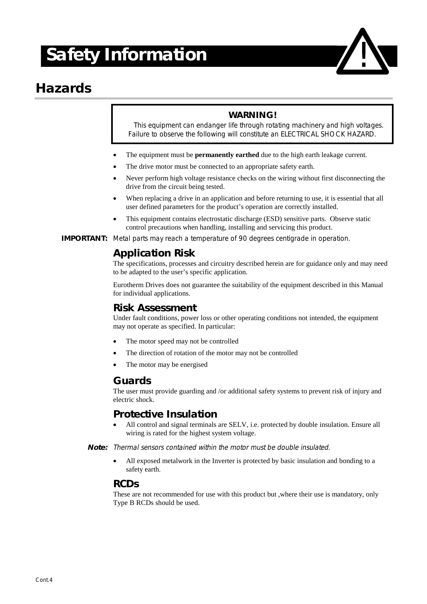# **! Safety Information**

### **Hazards**

#### **WARNING!**

This equipment can endanger life through rotating machinery and high voltages. Failure to observe the following will constitute an ELECTRICAL SHOCK HAZARD.

- The equipment must be **permanently earthed** due to the high earth leakage current.
- The drive motor must be connected to an appropriate safety earth.
- Never perform high voltage resistance checks on the wiring without first disconnecting the drive from the circuit being tested.
- When replacing a drive in an application and before returning to use, it is essential that all user defined parameters for the product's operation are correctly installed.
- This equipment contains electrostatic discharge (ESD) sensitive parts. Observe static control precautions when handling, installing and servicing this product.

**IMPORTANT:** Metal parts may reach a temperature of 90 degrees centigrade in operation.

#### **Application Risk**

The specifications, processes and circuitry described herein are for guidance only and may need to be adapted to the user's specific application.

Eurotherm Drives does not guarantee the suitability of the equipment described in this Manual for individual applications.

#### **Risk Assessment**

Under fault conditions, power loss or other operating conditions not intended, the equipment may not operate as specified. In particular:

- The motor speed may not be controlled
- The direction of rotation of the motor may not be controlled
- The motor may be energised

#### **Guards**

The user must provide guarding and /or additional safety systems to prevent risk of injury and electric shock.

#### **Protective Insulation**

All control and signal terminals are SELV, i.e. protected by double insulation. Ensure all wiring is rated for the highest system voltage.

**Note:** Thermal sensors contained within the motor must be double insulated.

" All exposed metalwork in the Inverter is protected by basic insulation and bonding to a safety earth.

#### **RCDs**

These are not recommended for use with this product but ,where their use is mandatory, only Type B RCDs should be used.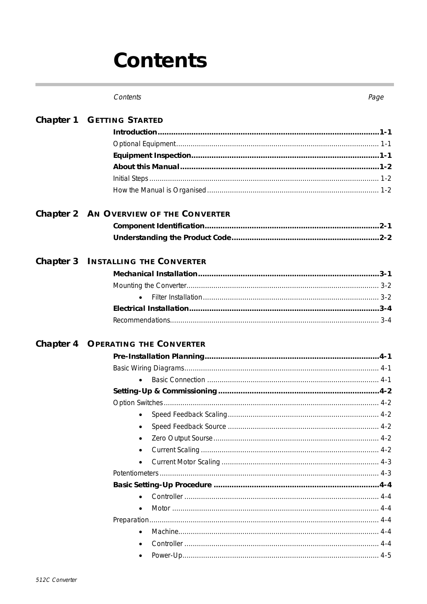# Contents

| <b>Chapter 1 GETTING STARTED</b>          |
|-------------------------------------------|
|                                           |
|                                           |
|                                           |
|                                           |
|                                           |
|                                           |
| Chapter 2 AN OVERVIEW OF THE CONVERTER    |
|                                           |
|                                           |
| <b>Chapter 3 INSTALLING THE CONVERTER</b> |
|                                           |
|                                           |
|                                           |
|                                           |
|                                           |
| <b>Chapter 4 OPERATING THE CONVERTER</b>  |
|                                           |
|                                           |
|                                           |
|                                           |
|                                           |
| $\bullet$                                 |
|                                           |
|                                           |
|                                           |
| $\bullet$                                 |
|                                           |
|                                           |
|                                           |
|                                           |
|                                           |
| $\bullet$                                 |
|                                           |
|                                           |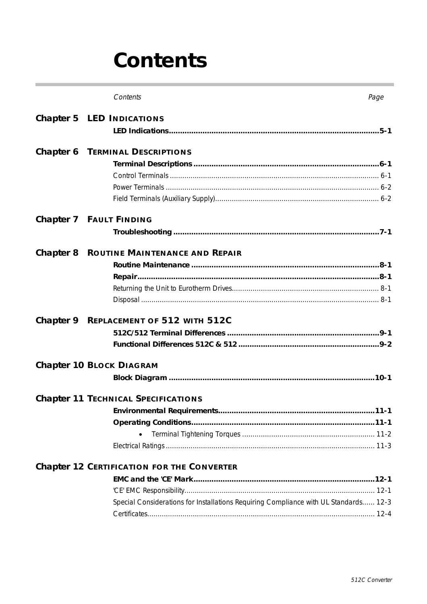# Contents

| Contents                                                                             | Page |
|--------------------------------------------------------------------------------------|------|
| Chapter 5 LED INDICATIONS                                                            |      |
|                                                                                      |      |
| <b>Chapter 6 TERMINAL DESCRIPTIONS</b>                                               |      |
|                                                                                      |      |
|                                                                                      |      |
|                                                                                      |      |
|                                                                                      |      |
| Chapter 7 FAULT FINDING                                                              |      |
|                                                                                      |      |
| <b>Chapter 8 ROUTINE MAINTENANCE AND REPAIR</b>                                      |      |
|                                                                                      |      |
|                                                                                      |      |
|                                                                                      |      |
|                                                                                      |      |
| Chapter 9 REPLACEMENT OF 512 WITH 512C                                               |      |
|                                                                                      |      |
|                                                                                      |      |
| Chapter 10 BLOCK DIAGRAM                                                             |      |
|                                                                                      |      |
| <b>Chapter 11 TECHNICAL SPECIFICATIONS</b>                                           |      |
|                                                                                      |      |
|                                                                                      |      |
|                                                                                      |      |
|                                                                                      |      |
| <b>Chapter 12 CERTIFICATION FOR THE CONVERTER</b>                                    |      |
|                                                                                      |      |
|                                                                                      |      |
| Special Considerations for Installations Requiring Compliance with UL Standards 12-3 |      |
|                                                                                      |      |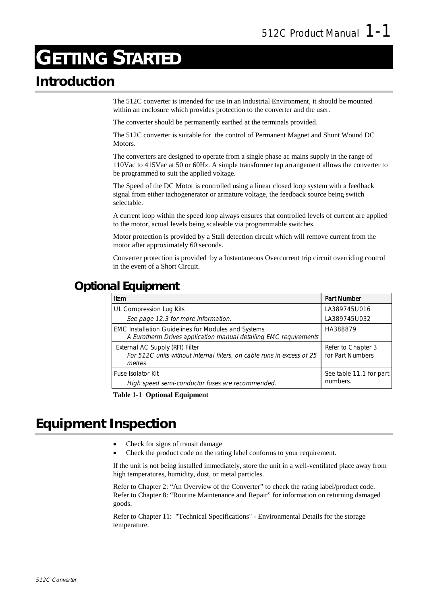# **GETTING STARTED**

### **Introduction**

The 512C converter is intended for use in an Industrial Environment, it should be mounted within an enclosure which provides protection to the converter and the user.

The converter should be permanently earthed at the terminals provided.

The 512C converter is suitable for the control of Permanent Magnet and Shunt Wound DC Motors.

The converters are designed to operate from a single phase ac mains supply in the range of 110Vac to 415Vac at 50 or 60Hz. A simple transformer tap arrangement allows the converter to be programmed to suit the applied voltage.

The Speed of the DC Motor is controlled using a linear closed loop system with a feedback signal from either tachogenerator or armature voltage, the feedback source being switch selectable.

A current loop within the speed loop always ensures that controlled levels of current are applied to the motor, actual levels being scaleable via programmable switches.

Motor protection is provided by a Stall detection circuit which will remove current from the motor after approximately 60 seconds.

Converter protection is provided by a Instantaneous Overcurrent trip circuit overriding control in the event of a Short Circuit.

### **Optional Equipment**

| Item                                                                                                                    | <b>Part Number</b>                     |
|-------------------------------------------------------------------------------------------------------------------------|----------------------------------------|
| UL Compression Lug Kits                                                                                                 | LA389745U016                           |
| See page 12.3 for more information.                                                                                     | LA389745U032                           |
| EMC Installation Guidelines for Modules and Systems<br>A Eurotherm Drives application manual detailing EMC requirements | HA388879                               |
| External AC Supply (RFI) Filter<br>For 512C units without internal filters, on cable runs in excess of 25<br>metres     | Refer to Chapter 3<br>for Part Numbers |
| <b>Fuse Isolator Kit</b><br>High speed semi-conductor fuses are recommended.                                            | See table 11.1 for part<br>numbers.    |

**Table 1-1 Optional Equipment**

### **Equipment Inspection**

- Check for signs of transit damage
- Check the product code on the rating label conforms to your requirement.

If the unit is not being installed immediately, store the unit in a well-ventilated place away from high temperatures, humidity, dust, or metal particles.

Refer to Chapter 2: "An Overview of the Converter" to check the rating label/product code. Refer to Chapter 8: "Routine Maintenance and Repair" for information on returning damaged goods.

Refer to Chapter 11: "Technical Specifications" - Environmental Details for the storage temperature.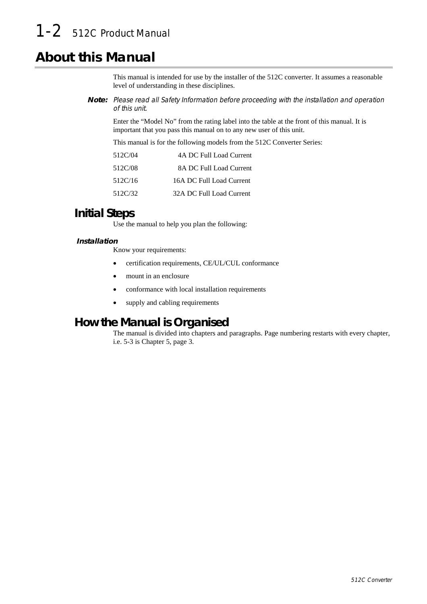## 1-2 512C Product Manual

### **About this Manual**

This manual is intended for use by the installer of the 512C converter. It assumes a reasonable level of understanding in these disciplines.

**Note:** Please read all Safety Information before proceeding with the installation and operation of this unit.

Enter the "Model No" from the rating label into the table at the front of this manual. It is important that you pass this manual on to any new user of this unit.

This manual is for the following models from the 512C Converter Series:

| 512C/04 | 4A DC Full Load Current  |
|---------|--------------------------|
| 512C/08 | 8A DC Full Load Current  |
| 512C/16 | 16A DC Full Load Current |
| 512C/32 | 32A DC Full Load Current |

#### **Initial Steps**

Use the manual to help you plan the following:

#### **Installation**

Know your requirements:

- certification requirements, CE/UL/CUL conformance
- mount in an enclosure
- conformance with local installation requirements
- supply and cabling requirements

#### **How the Manual is Organised**

The manual is divided into chapters and paragraphs. Page numbering restarts with every chapter, i.e. 5-3 is Chapter 5, page 3.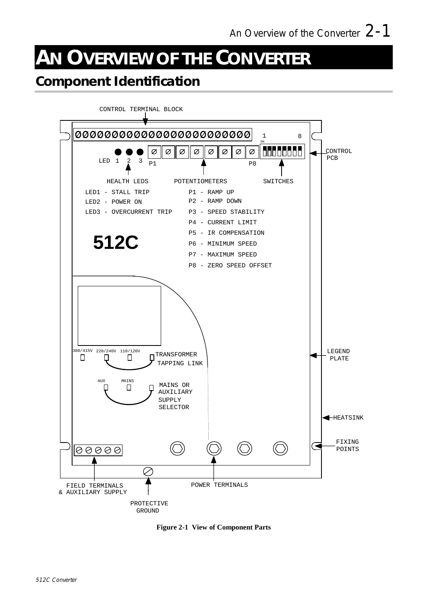# **AN OVERVIEW OF THE CONVERTER**

### **Component Identification**



**Figure 2-1 View of Component Parts**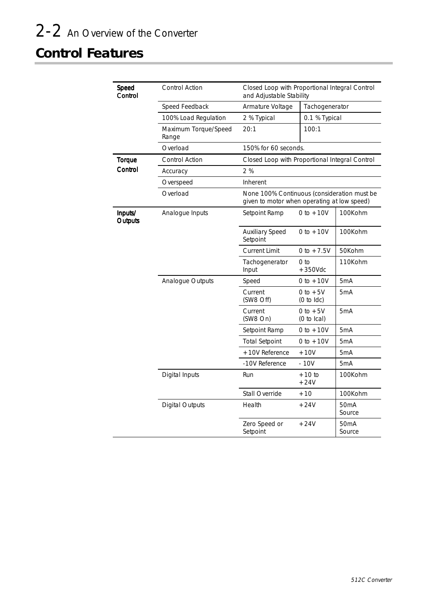## **Control Features**

| Speed<br>Control   | <b>Control Action</b>         | Closed Loop with Proportional Integral Control<br>and Adjustable Stability                 |                                    |                             |
|--------------------|-------------------------------|--------------------------------------------------------------------------------------------|------------------------------------|-----------------------------|
|                    | Speed Feedback                | Armature Voltage                                                                           | Tachogenerator                     |                             |
|                    | 100% Load Regulation          | 2 % Typical                                                                                | 0.1 % Typical                      |                             |
|                    | Maximum Torque/Speed<br>Range | 20:1                                                                                       | 100:1                              |                             |
|                    | Overload                      | 150% for 60 seconds.                                                                       |                                    |                             |
| Torque             | Control Action                | Closed Loop with Proportional Integral Control                                             |                                    |                             |
| Control            | Accuracy                      | 2%                                                                                         |                                    |                             |
|                    | Overspeed                     | Inherent                                                                                   |                                    |                             |
|                    | Overload                      | None 100% Continuous (consideration must be<br>given to motor when operating at low speed) |                                    |                             |
| Inputs/<br>Outputs | Analogue Inputs               | Setpoint Ramp                                                                              | 0 to $+10V$                        | 100Kohm                     |
|                    |                               | <b>Auxiliary Speed</b><br>Setpoint                                                         | 0 to $+10V$                        | 100Kohm                     |
|                    |                               | <b>Current Limit</b>                                                                       | 0 to $+7.5V$                       | 50Kohm                      |
|                    |                               | Tachogenerator<br>Input                                                                    | 0 <sub>to</sub><br>$+350$ Vdc      | 110Kohm                     |
|                    | Analogue Outputs              | Speed                                                                                      | 0 to $+10V$                        | 5mA                         |
|                    |                               | Current<br>(SW8 Off)                                                                       | $0 to +5V$<br>$(0 to$ ldc $)$      | 5 <sub>m</sub> A            |
|                    |                               | Current<br>(SW8 On)                                                                        | 0 to $+5V$<br>$(0 to \text{lcal})$ | 5 <sub>m</sub> A            |
|                    |                               | Setpoint Ramp                                                                              | 0 to $+10V$                        | 5 <sub>m</sub> A            |
|                    |                               | <b>Total Setpoint</b>                                                                      | 0 to $+10V$                        | 5 <sub>m</sub> A            |
|                    |                               | +10V Reference                                                                             | $+10V$                             | 5 <sub>m</sub> A            |
|                    |                               | -10V Reference                                                                             | $-10V$                             | 5 <sub>m</sub> A            |
|                    | Digital Inputs                | Run                                                                                        | $+10$ to<br>$+24V$                 | 100Kohm                     |
|                    |                               | Stall Override                                                                             | $+10$                              | 100Kohm                     |
|                    | <b>Digital Outputs</b>        | Health                                                                                     | $+24V$                             | 50 <sub>m</sub> A<br>Source |
|                    |                               | Zero Speed or<br>Setpoint                                                                  | $+24V$                             | 50 <sub>m</sub> A<br>Source |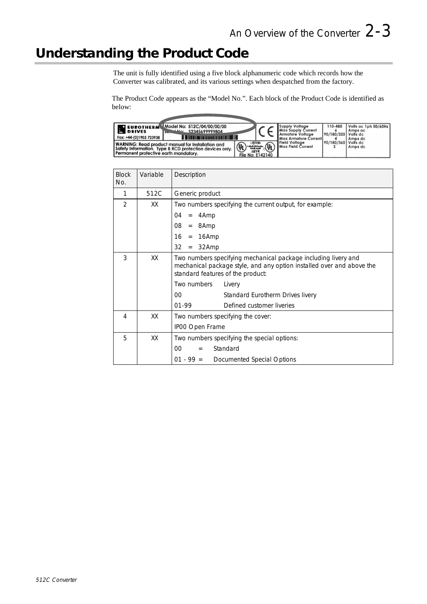### **Understanding the Product Code**

The unit is fully identified using a five block alphanumeric code which records how the Converter was calibrated, and its various settings when despatched from the factory.

The Product Code appears as the "Model No.". Each block of the Product Code is identified as below:

| Model No: 512C/04/00/00/00<br><b>O EUROTHERM</b><br><b>B</b> DRIVES<br><u> 1444 - 23345699999804</u><br><b>Stand</b><br><u> III - An Farrachtacht III - III - III - III - III - III - III - III - III - III - III - III - III - III - III</u><br>Fax: +44-(0)1903 723938 |                                                                 | <b>Supply Voltage</b><br><b>Max Supply Current</b><br>Armature Voltage<br><b>Max Armature Current!</b> | 110-480<br>90/180/320 Volfs dc | Volts ac 1ph 50/60Hz<br>Amps ac<br>Amps dc |
|--------------------------------------------------------------------------------------------------------------------------------------------------------------------------------------------------------------------------------------------------------------------------|-----------------------------------------------------------------|--------------------------------------------------------------------------------------------------------|--------------------------------|--------------------------------------------|
| <b>WARNING: Read product manual for Installation and</b><br>WARNING: Read product manual for Installation and<br>Safety Information. Type B RCD protection devices only. $(\Psi)$<br>Permanent protective earth mandatory.                                               | LISTED<br><b>Easte suppl</b><br>55Y4<br><b>File No: E142140</b> | Field Voltage<br><b>Max Field Current</b>                                                              | 90/180/360 Volfs dc            | Amps dc                                    |

| <b>Block</b><br>No. | Variable | Description                                                                                                                                                                  |
|---------------------|----------|------------------------------------------------------------------------------------------------------------------------------------------------------------------------------|
| 1                   | 512C     | Generic product                                                                                                                                                              |
| 2                   | XX       | Two numbers specifying the current output, for example:                                                                                                                      |
|                     |          | 04<br>$=$ 4Amp                                                                                                                                                               |
|                     |          | 08<br>$= 8Amp$                                                                                                                                                               |
|                     |          | 16<br>$= 16Amp$                                                                                                                                                              |
|                     |          | 32<br>$= 32Amp$                                                                                                                                                              |
| 3                   | XX       | Two numbers specifying mechanical package including livery and<br>mechanical package style, and any option installed over and above the<br>standard features of the product: |
|                     |          | Two numbers<br>Livery                                                                                                                                                        |
|                     |          | $00\,$<br>Standard Eurotherm Drives livery                                                                                                                                   |
|                     |          | 01-99<br>Defined customer liveries                                                                                                                                           |
| 4                   | XX       | Two numbers specifying the cover:                                                                                                                                            |
|                     |          | IP00 Open Frame                                                                                                                                                              |
| 5                   | XX       | Two numbers specifying the special options:                                                                                                                                  |
|                     |          | Standard<br>00<br>$=$                                                                                                                                                        |
|                     |          | $01 - 99 =$ Documented Special Options                                                                                                                                       |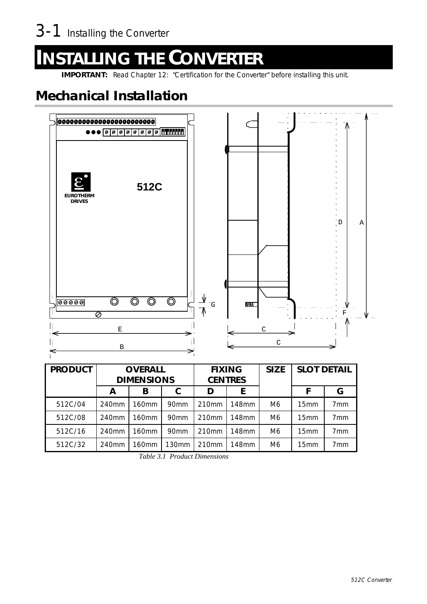# <sup>4</sup>**INSTALLING THE CONVERTER**

**IMPORTANT:** Read Chapter 12: "Certification for the Converter" before installing this unit.

### **Mechanical Installation**



| <b>PRODUCT</b> | <b>OVERALL</b><br><b>DIMENSIONS</b> |                   | <b>FIXING</b><br><b>CENTRES</b> |                   |       | <b>SIZE</b>    | <b>SLOT DETAIL</b> |                 |
|----------------|-------------------------------------|-------------------|---------------------------------|-------------------|-------|----------------|--------------------|-----------------|
|                | A                                   | B                 |                                 | D                 | E     |                | F                  | G               |
| 512C/04        | 240 <sub>mm</sub>                   | 160 <sub>mm</sub> | 90 <sub>mm</sub>                | 210 <sub>mm</sub> | 148mm | M <sub>6</sub> | 15 <sub>mm</sub>   | 7 <sub>mm</sub> |
| 512C/08        | 240mm                               | 160mm             | 90 <sub>mm</sub>                | 210 <sub>mm</sub> | 148mm | M <sub>6</sub> | 15 <sub>mm</sub>   | 7 <sub>mm</sub> |
| 512C/16        | 240mm                               | 160mm             | 90 <sub>mm</sub>                | 210 <sub>mm</sub> | 148mm | M <sub>6</sub> | 15 <sub>mm</sub>   | 7 <sub>mm</sub> |
| 512C/32        | 240 <sub>mm</sub>                   | 160mm             | 130mm                           | 210 <sub>mm</sub> | 148mm | M6             | 15 <sub>mm</sub>   | 7mm             |

*Table 3.1 Product Dimensions*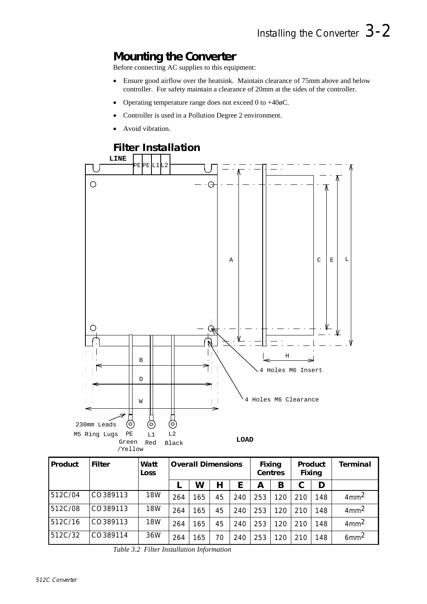### **Mounting the Converter**

Before connecting AC supplies to this equipment:

- Ensure good airflow over the heatsink. Maintain clearance of 75mm above and below controller. For safety maintain a clearance of 20mm at the sides of the controller.
- Operating temperature range does not exceed 0 to  $+40\phi C$ .
- Controller is used in a Pollution Degree 2 environment.
- Avoid vibration.



| Product | <b>Filter</b> | Watt<br>Loss | <b>Overall Dimensions</b> |     |    |     | Fixing<br>Centres | Product<br>Fixing |     | Terminal |                  |
|---------|---------------|--------------|---------------------------|-----|----|-----|-------------------|-------------------|-----|----------|------------------|
|         |               |              |                           | W   | Н  |     | А                 | B                 |     | D        |                  |
| 512C/04 | CO389113      | 18W          | 264                       | 165 | 45 | 240 | 253               | 120               | 210 | 148      | 4mm <sup>2</sup> |
| 512C/08 | CO389113      | 18W          | 264                       | 165 | 45 | 240 | 253               | 120               | 210 | 148      | 4mm <sup>2</sup> |
| 512C/16 | CO389113      | 18W          | 264                       | 165 | 45 | 240 | 253               | 120               | 210 | 148      | 4mm <sup>2</sup> |
| 512C/32 | CO389114      | 36W          | 264                       | 165 | 70 | 240 | 253               | 120               | 210 | 148      | 6mm <sup>2</sup> |

*Table 3.2 Filter Installation Information*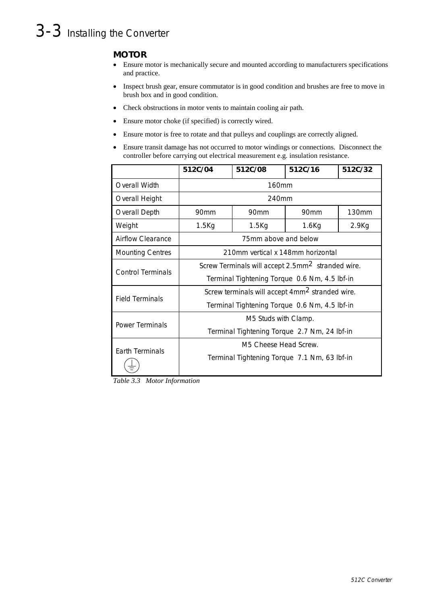## 3-3 Installing the Converter

#### **MOTOR**

- " Ensure motor is mechanically secure and mounted according to manufacturers specifications and practice.
- Inspect brush gear, ensure commutator is in good condition and brushes are free to move in brush box and in good condition.
- Check obstructions in motor vents to maintain cooling air path.
- Ensure motor choke (if specified) is correctly wired.
- Ensure motor is free to rotate and that pulleys and couplings are correctly aligned.
- Ensure transit damage has not occurred to motor windings or connections. Disconnect the controller before carrying out electrical measurement e.g. insulation resistance.

|                          | 512C/04                                                       | 512C/08                           | 512C/16          | 512C/32           |  |  |
|--------------------------|---------------------------------------------------------------|-----------------------------------|------------------|-------------------|--|--|
| Overall Width            |                                                               | 160mm                             |                  |                   |  |  |
| Overall Height           |                                                               | 240mm                             |                  |                   |  |  |
| <b>Overall Depth</b>     | 90 <sub>mm</sub>                                              | 90 <sub>mm</sub>                  | 90 <sub>mm</sub> | 130mm             |  |  |
| Weight                   | $1.5$ Kg                                                      | $1.5$ Kg                          | $1.6$ Kg         | 2.9 <sub>Kg</sub> |  |  |
| Airflow Clearance        |                                                               | 75mm above and below              |                  |                   |  |  |
| <b>Mounting Centres</b>  |                                                               | 210mm vertical x 148mm horizontal |                  |                   |  |  |
| <b>Control Terminals</b> | Screw Terminals will accept 2.5mm <sup>2</sup> stranded wire. |                                   |                  |                   |  |  |
|                          | Terminal Tightening Torque 0.6 Nm, 4.5 lbf-in                 |                                   |                  |                   |  |  |
| <b>Field Terminals</b>   | Screw terminals will accept 4mm <sup>2</sup> stranded wire.   |                                   |                  |                   |  |  |
|                          | Terminal Tightening Torque 0.6 Nm, 4.5 lbf-in                 |                                   |                  |                   |  |  |
| Power Terminals          | M5 Studs with Clamp.                                          |                                   |                  |                   |  |  |
|                          | Terminal Tightening Torque 2.7 Nm, 24 lbf-in                  |                                   |                  |                   |  |  |
| <b>Earth Terminals</b>   | M5 Cheese Head Screw.                                         |                                   |                  |                   |  |  |
|                          | Terminal Tightening Torque 7.1 Nm, 63 lbf-in                  |                                   |                  |                   |  |  |

*Table 3.3 Motor Information*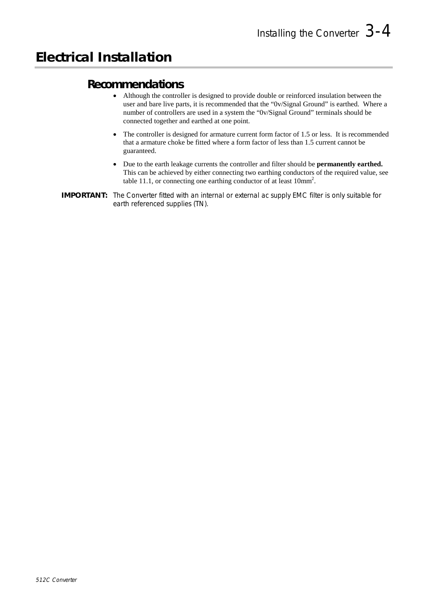#### **Recommendations**

- " Although the controller is designed to provide double or reinforced insulation between the user and bare live parts, it is recommended that the "0v/Signal Ground" is earthed. Where a number of controllers are used in a system the "0v/Signal Ground" terminals should be connected together and earthed at one point.
- The controller is designed for armature current form factor of 1.5 or less. It is recommended that a armature choke be fitted where a form factor of less than 1.5 current cannot be guaranteed.
- " Due to the earth leakage currents the controller and filter should be **permanently earthed.** This can be achieved by either connecting two earthing conductors of the required value, see table 11.1, or connecting one earthing conductor of at least  $10mm^2$ .
- **IMPORTANT:** The Converter fitted with an internal or external ac supply EMC filter is only suitable for earth referenced supplies (TN).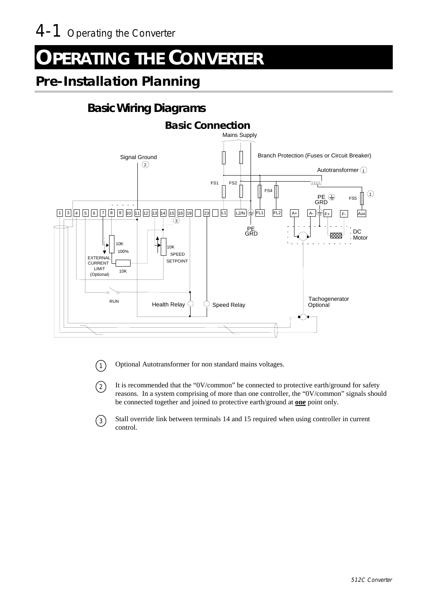# **DPERATING THE CONVERTER**

### **Pre-Installation Planning**

### **Basic Wiring Diagrams**



 $\binom{1}{1}$  Optional Autotransformer for non standard mains voltages.

- $(2)$  It is recommended that the "0V/common" be connected to protective earth/ground for safety reasons. In a system comprising of more than one controller, the "0V/common" signals should be connected together and joined to protective earth/ground at **one** point only.
- $\binom{3}{3}$  Stall override link between terminals 14 and 15 required when using controller in current control.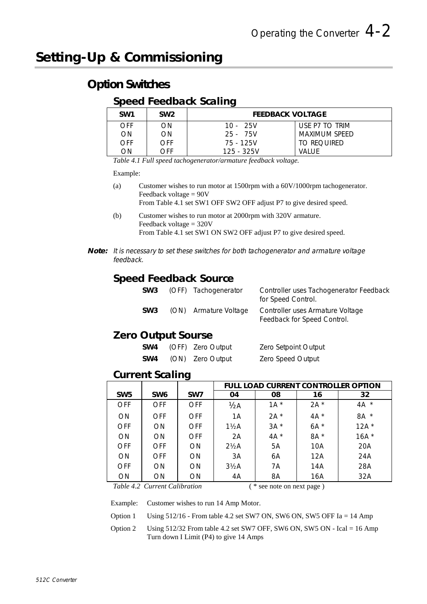### **Setting-Up & Commissioning**

### **Option Switches**

#### **Speed Feedback Scaling**

| SW <sub>1</sub> | SW <sub>2</sub> | <b>FEEDBACK VOLTAGE</b> |                |  |  |
|-----------------|-----------------|-------------------------|----------------|--|--|
| <b>OFF</b>      | ON.             | $10 - 25V$              | USE P7 TO TRIM |  |  |
| <b>ON</b>       | ON              | 25 - 75V                | MAXIMUM SPFFD  |  |  |
| <b>OFF</b>      | <b>OFF</b>      | 75 - 125V               | TO REOUIRED    |  |  |
| ON              | OFF             | $125 - 325V$            | VALUE          |  |  |

*Table 4.1 Full speed tachogenerator/armature feedback voltage.*

#### Example:

(a) Customer wishes to run motor at 1500rpm with a 60V/1000rpm tachogenerator. Feedback voltage = 90V

From Table 4.1 set SW1 OFF SW2 OFF adjust P7 to give desired speed.

- (b) Customer wishes to run motor at 2000rpm with 320V armature. Feedback voltage = 320V From Table 4.1 set SW1 ON SW2 OFF adjust P7 to give desired speed.
- **Note:** It is necessary to set these switches for both tachogenerator and armature voltage feedback.

#### **Speed Feedback Source**

|                 | SW3 (OFF) Tachogenerator | Controller uses Tachogenerator Feedback<br>for Speed Control.   |
|-----------------|--------------------------|-----------------------------------------------------------------|
| SW <sub>3</sub> | (ON) Armature Voltage    | Controller uses Armature Voltage<br>Feedback for Speed Control. |

#### **Zero Output Sourse**

| SW4             | (OFF) Zero Output | Zero Setpoint Output |
|-----------------|-------------------|----------------------|
| SW <sub>4</sub> | (ON) Zero Output  | Zero Speed Output    |

#### **Current Scaling**

|                 |                 |                 |                  |        |        | FULL LOAD CURRENT CONTROLLER OPTION |
|-----------------|-----------------|-----------------|------------------|--------|--------|-------------------------------------|
| SW <sub>5</sub> | SW <sub>6</sub> | SW <sub>7</sub> | 04               | 08     | 16     | 32                                  |
| <b>OFF</b>      | <b>OFF</b>      | <b>OFF</b>      | 1/2A             | $1A^*$ | $2A^*$ | $4A^*$                              |
| <b>ON</b>       | <b>OFF</b>      | <b>OFF</b>      | 1A               | $2A^*$ | $4A^*$ | $\star$<br>8A                       |
| <b>OFF</b>      | <b>ON</b>       | <b>OFF</b>      | $1\frac{1}{2}$ A | $3A^*$ | $6A^*$ | $12A^*$                             |
| <b>ON</b>       | <b>ON</b>       | <b>OFF</b>      | 2A               | $4A^*$ | 8A *   | $16A^*$                             |
| <b>OFF</b>      | <b>OFF</b>      | <b>ON</b>       | $2\frac{1}{2}$ A | 5A     | 10A    | 20A                                 |
| ON              | <b>OFF</b>      | ON              | 3A               | 6A     | 12A    | 24A                                 |
| <b>OFF</b>      | <b>ON</b>       | ON              | $3\frac{1}{2}$ A | 7A     | 14A    | 28A                                 |
| <b>ON</b>       | <b>ON</b>       | <b>ON</b>       | 4A               | 8A     | 16A    | 32A                                 |

*Table 4.2 Current Calibration*  $(*$  see note on next page )

Example: Customer wishes to run 14 Amp Motor.

Option 1 Using 512/16 - From table 4.2 set SW7 ON, SW6 ON, SW5 OFF Ia = 14 Amp

Option 2 Using 512/32 From table 4.2 set SW7 OFF, SW6 ON, SW5 ON - Ical = 16 Amp Turn down I Limit (P4) to give 14 Amps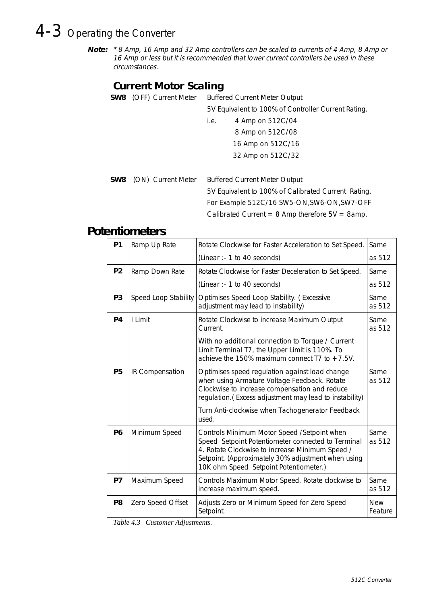# 4-3 Operating the Converter

**Note:** \* 8 Amp, 16 Amp and 32 Amp controllers can be scaled to currents of 4 Amp, 8 Amp or 16 Amp or less but it is recommended that lower current controllers be used in these circumstances.

### **Current Motor Scaling**

| <b>SW8</b> (OFF) Current Meter | <b>Buffered Current Meter Output</b>                 |  |
|--------------------------------|------------------------------------------------------|--|
|                                | 5V Equivalent to 100% of Controller Current Rating.  |  |
|                                | 4 Amp on 512C/04<br>i.e.                             |  |
|                                | 8 Amp on 512C/08                                     |  |
|                                | 16 Amp on 512C/16                                    |  |
|                                | 32 Amp on 512C/32                                    |  |
|                                |                                                      |  |
| <b>SW8</b> (ON) Current Meter  | <b>Buffered Current Meter Output</b>                 |  |
|                                | 5V Equivalent to 100% of Calibrated Current Rating.  |  |
|                                | For Example 512C/16 SW5-ON, SW6-ON, SW7-OFF          |  |
|                                | Calibrated Current = $8$ Amp therefore $5V = 8$ amp. |  |

#### **Potentiometers**

| <b>P1</b>      | Ramp Up Rate         | Rotate Clockwise for Faster Acceleration to Set Speed.<br>Same                                                                                                                                                                                        |                       |
|----------------|----------------------|-------------------------------------------------------------------------------------------------------------------------------------------------------------------------------------------------------------------------------------------------------|-----------------------|
|                |                      | (Linear :- 1 to 40 seconds)                                                                                                                                                                                                                           | as 512                |
| P <sub>2</sub> | Ramp Down Rate       | Rotate Clockwise for Faster Deceleration to Set Speed.                                                                                                                                                                                                | Same                  |
|                |                      | (Linear :- 1 to 40 seconds)                                                                                                                                                                                                                           | as 512                |
| P <sub>3</sub> | Speed Loop Stability | Optimises Speed Loop Stability. (Excessive<br>adjustment may lead to instability)                                                                                                                                                                     | Same<br>as 512        |
| P4             | I Limit              | Rotate Clockwise to increase Maximum Output<br>Current.                                                                                                                                                                                               | Same<br>as 512        |
|                |                      | With no additional connection to Torque / Current<br>Limit Terminal T7, the Upper Limit is 110%. To<br>achieve the 150% maximum connect T7 to $+7.5V$ .                                                                                               |                       |
| P <sub>5</sub> | IR Compensation      | Optimises speed regulation against load change<br>when using Armature Voltage Feedback. Rotate<br>Clockwise to increase compensation and reduce<br>regulation.(Excess adjustment may lead to instability)                                             | Same<br>as 512        |
|                |                      | Turn Anti-clockwise when Tachogenerator Feedback<br>used.                                                                                                                                                                                             |                       |
| <b>P6</b>      | Minimum Speed        | Controls Minimum Motor Speed / Setpoint when<br>Speed Setpoint Potentiometer connected to Terminal<br>4. Rotate Clockwise to increase Minimum Speed /<br>Setpoint. (Approximately 30% adjustment when using<br>10K ohm Speed Setpoint Potentiometer.) | Same<br>as 512        |
| P7             | Maximum Speed        | Controls Maximum Motor Speed. Rotate clockwise to<br>increase maximum speed.                                                                                                                                                                          | Same<br>as 512        |
| P <sub>8</sub> | Zero Speed Offset    | Adjusts Zero or Minimum Speed for Zero Speed<br>Setpoint.                                                                                                                                                                                             | <b>New</b><br>Feature |

*Table 4.3 Customer Adjustments.*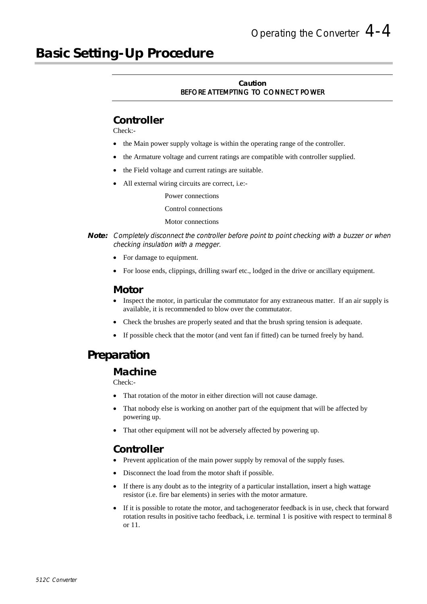### **Basic Setting-Up Procedure**

#### **Caution** BEFORE ATTEMPTING TO CONNECT POWER

#### **Controller**

Check:-

- the Main power supply voltage is within the operating range of the controller.
- the Armature voltage and current ratings are compatible with controller supplied.
- the Field voltage and current ratings are suitable.
- All external wiring circuits are correct, i.e:-

Power connections

Control connections

#### Motor connections

- **Note:** Completely disconnect the controller before point to point checking with a buzzer or when checking insulation with a megger.
	- For damage to equipment.
	- For loose ends, clippings, drilling swarf etc., lodged in the drive or ancillary equipment.

#### **Motor**

- Inspect the motor, in particular the commutator for any extraneous matter. If an air supply is available, it is recommended to blow over the commutator.
- Check the brushes are properly seated and that the brush spring tension is adequate.
- If possible check that the motor (and vent fan if fitted) can be turned freely by hand.

### **Preparation**

#### **Machine**

Check:-

- That rotation of the motor in either direction will not cause damage.
- That nobody else is working on another part of the equipment that will be affected by powering up.
- That other equipment will not be adversely affected by powering up.

#### **Controller**

- Prevent application of the main power supply by removal of the supply fuses.
- Disconnect the load from the motor shaft if possible.
- If there is any doubt as to the integrity of a particular installation, insert a high wattage resistor (i.e. fire bar elements) in series with the motor armature.
- If it is possible to rotate the motor, and tachogenerator feedback is in use, check that forward rotation results in positive tacho feedback, i.e. terminal 1 is positive with respect to terminal 8 or 11.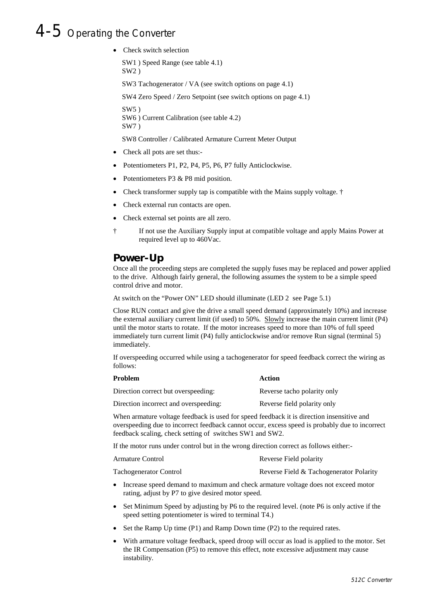### 4-5 Operating the Converter

• Check switch selection

SW1 ) Speed Range (see table 4.1) SW2 ) SW3 Tachogenerator / VA (see switch options on page 4.1) SW4 Zero Speed / Zero Setpoint (see switch options on page 4.1)

 $SW5$ ) SW6 ) Current Calibration (see table 4.2) SW7 )

SW8 Controller / Calibrated Armature Current Meter Output

- Check all pots are set thus:-
- Potentiometers P1, P2, P4, P5, P6, P7 fully Anticlockwise.
- Potentiometers P3 & P8 mid position.
- Check transformer supply tap is compatible with the Mains supply voltage.  $\dagger$
- Check external run contacts are open.
- Check external set points are all zero.
- † If not use the Auxiliary Supply input at compatible voltage and apply Mains Power at required level up to 460Vac.

#### **Power-Up**

Once all the proceeding steps are completed the supply fuses may be replaced and power applied to the drive. Although fairly general, the following assumes the system to be a simple speed control drive and motor.

At switch on the "Power ON" LED should illuminate (LED 2 see Page 5.1)

Close RUN contact and give the drive a small speed demand (approximately 10%) and increase the external auxiliary current limit (if used) to 50%. Slowly increase the main current limit (P4) until the motor starts to rotate. If the motor increases speed to more than 10% of full speed immediately turn current limit (P4) fully anticlockwise and/or remove Run signal (terminal 5) immediately.

If overspeeding occurred while using a tachogenerator for speed feedback correct the wiring as follows:

| <b>Problem</b>                        | Action                      |
|---------------------------------------|-----------------------------|
| Direction correct but overspeeding:   | Reverse tacho polarity only |
| Direction incorrect and overspeeding: | Reverse field polarity only |

When armature voltage feedback is used for speed feedback it is direction insensitive and overspeeding due to incorrect feedback cannot occur, excess speed is probably due to incorrect feedback scaling, check setting of switches SW1 and SW2.

If the motor runs under control but in the wrong direction correct as follows either:-

| Armature Control              | Reverse Field polarity                  |
|-------------------------------|-----------------------------------------|
| <b>Tachogenerator Control</b> | Reverse Field & Tachogenerator Polarity |

- " Increase speed demand to maximum and check armature voltage does not exceed motor rating, adjust by P7 to give desired motor speed.
- Set Minimum Speed by adjusting by P6 to the required level. (note P6 is only active if the speed setting potentiometer is wired to terminal T4.)
- Set the Ramp Up time (P1) and Ramp Down time (P2) to the required rates.
- With armature voltage feedback, speed droop will occur as load is applied to the motor. Set the IR Compensation (P5) to remove this effect, note excessive adjustment may cause instability.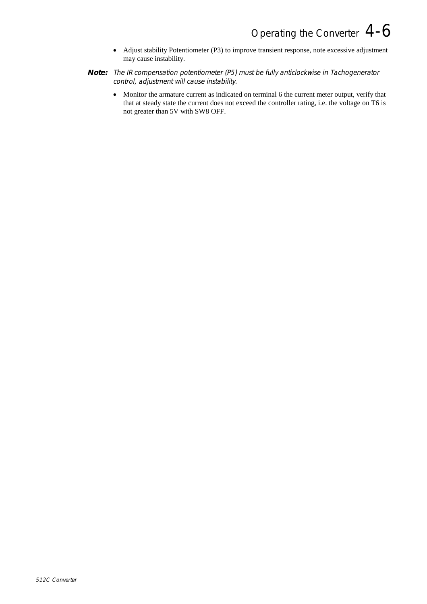- Adjust stability Potentiometer (P3) to improve transient response, note excessive adjustment may cause instability.
- **Note:** The IR compensation potentiometer (P5) must be fully anticlockwise in Tachogenerator control, adjustment will cause instability.
	- Monitor the armature current as indicated on terminal 6 the current meter output, verify that that at steady state the current does not exceed the controller rating, i.e. the voltage on T6 is not greater than 5V with SW8 OFF.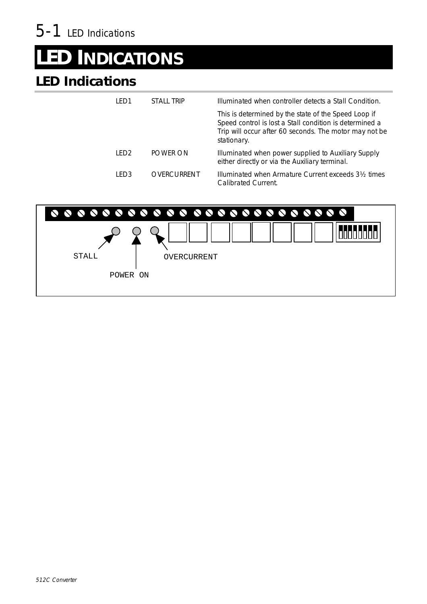# **ED INDICATIONS**

## **LED Indications**

| I FD1 | STALL TRIP  | Illuminated when controller detects a Stall Condition.                                                                                                                                   |
|-------|-------------|------------------------------------------------------------------------------------------------------------------------------------------------------------------------------------------|
|       |             | This is determined by the state of the Speed Loop if<br>Speed control is lost a Stall condition is determined a<br>Trip will occur after 60 seconds. The motor may not be<br>stationary. |
| IFD2  | POWER ON    | Illuminated when power supplied to Auxiliary Supply<br>either directly or via the Auxiliary terminal.                                                                                    |
| LED3  | OVERCURRENT | Illuminated when Armature Current exceeds 3 <sup>1/2</sup> times<br>Calibrated Current.                                                                                                  |

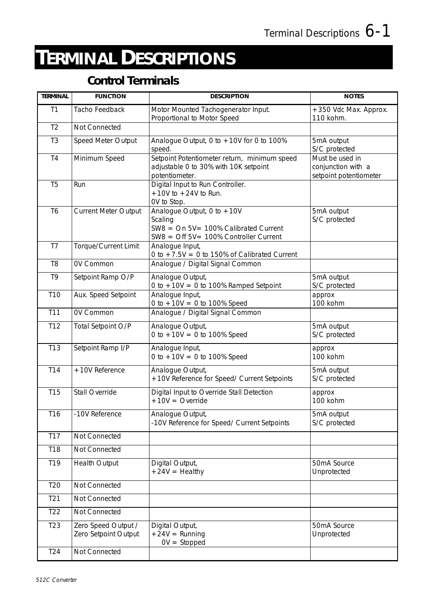# <sup>7</sup>**TERMINAL DESCRIPTIONS**

### **Control Terminals**

| <b>TERMINAL</b> | <b>FUNCTION</b>                             | <b>DESCRIPTION</b>                                                                                                               | <b>NOTES</b>                                                    |
|-----------------|---------------------------------------------|----------------------------------------------------------------------------------------------------------------------------------|-----------------------------------------------------------------|
| T1              | Tacho Feedback                              | Motor Mounted Tachogenerator Input.<br>Proportional to Motor Speed                                                               | +350 Vdc Max. Approx.<br>110 kohm.                              |
| T <sub>2</sub>  | Not Connected                               |                                                                                                                                  |                                                                 |
| T <sub>3</sub>  | Speed Meter Output                          | Analogue Output, 0 to $+10V$ for 0 to 100%<br>speed.                                                                             | 5mA output<br>S/C protected                                     |
| T <sub>4</sub>  | Minimum Speed                               | Setpoint Potentiometer return, minimum speed<br>adjustable 0 to 30% with 10K setpoint<br>potentiometer.                          | Must be used in<br>conjunction with a<br>setpoint potentiometer |
| T <sub>5</sub>  | Run                                         | Digital Input to Run Controller.<br>$+10V$ to $+24V$ to Run.<br>OV to Stop.                                                      |                                                                 |
| T <sub>6</sub>  | Current Meter Output                        | Analogue Output, $0$ to +10V<br>Scaling<br>$SW8 = On 5V = 100\%$ Calibrated Current<br>$SW8 = Off 5V = 100\%$ Controller Current | 5mA output<br>S/C protected                                     |
| T7              | Torque/Current Limit                        | Analogue Input,<br>0 to $+7.5V = 0$ to 150% of Calibrated Current                                                                |                                                                 |
| T <sub>8</sub>  | <b>OV Common</b>                            | Analogue / Digital Signal Common                                                                                                 |                                                                 |
| T <sub>9</sub>  | Setpoint Ramp O/P                           | Analogue Output,<br>0 to $+10V = 0$ to 100% Ramped Setpoint                                                                      | 5mA output<br>S/C protected                                     |
| T <sub>10</sub> | Aux. Speed Setpoint                         | Analogue Input,<br>0 to $+10V = 0$ to 100% Speed                                                                                 | approx<br>100 kohm                                              |
| T11             | OV Common                                   | Analogue / Digital Signal Common                                                                                                 |                                                                 |
| T12             | Total Setpoint O/P                          | Analogue Output,<br>0 to $+10V = 0$ to 100% Speed                                                                                | 5mA output<br>S/C protected                                     |
| T13             | Setpoint Ramp I/P                           | Analogue Input,<br>0 to $+10V = 0$ to 100% Speed                                                                                 | approx<br>100 kohm                                              |
| T14             | +10V Reference                              | Analogue Output,<br>+10V Reference for Speed/ Current Setpoints                                                                  | 5mA output<br>S/C protected                                     |
| <b>T15</b>      | Stall Override                              | Digital Input to Override Stall Detection<br>$+10V = Override$                                                                   | approx<br>100 kohm                                              |
| T16             | -10V Reference                              | Analogue Output,<br>-10V Reference for Speed/ Current Setpoints                                                                  | 5mA output<br>S/C protected                                     |
| T17             | Not Connected                               |                                                                                                                                  |                                                                 |
| T18             | Not Connected                               |                                                                                                                                  |                                                                 |
| T19             | <b>Health Output</b>                        | Digital Output,<br>$+24V =$ Healthy                                                                                              | 50mA Source<br>Unprotected                                      |
| T <sub>20</sub> | Not Connected                               |                                                                                                                                  |                                                                 |
| T <sub>21</sub> | Not Connected                               |                                                                                                                                  |                                                                 |
| T <sub>22</sub> | Not Connected                               |                                                                                                                                  |                                                                 |
| T <sub>23</sub> | Zero Speed Output /<br>Zero Setpoint Output | Digital Output,<br>$+24V =$ Running<br>$OV = Stopped$                                                                            | 50mA Source<br>Unprotected                                      |
| T <sub>24</sub> | Not Connected                               |                                                                                                                                  |                                                                 |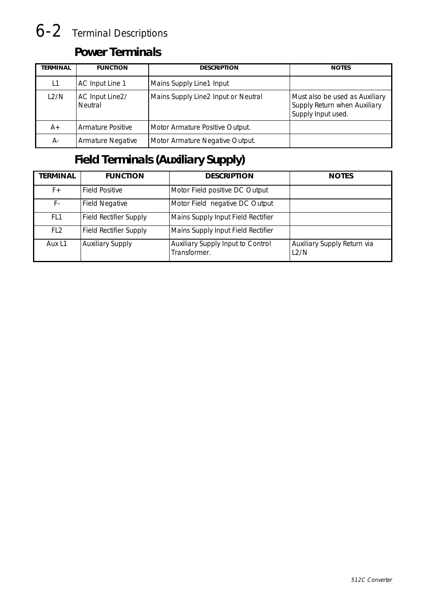# 6-2 Terminal Descriptions

### **Power Terminals**

| TERMINAL | <b>FUNCTION</b>            | <b>DESCRIPTION</b>                  | <b>NOTES</b>                                                                         |
|----------|----------------------------|-------------------------------------|--------------------------------------------------------------------------------------|
| L1       | AC Input Line 1            | Mains Supply Line1 Input            |                                                                                      |
| L2/N     | AC Input Line2/<br>Neutral | Mains Supply Line2 Input or Neutral | Must also be used as Auxiliary<br>Supply Return when Auxiliary<br>Supply Input used. |
| $A+$     | <b>Armature Positive</b>   | Motor Armature Positive Output.     |                                                                                      |
| А-       | <b>Armature Negative</b>   | Motor Armature Negative Output.     |                                                                                      |

### **Field Terminals (Auxiliary Supply)**

| <b>TERMINAL</b> | <b>FUNCTION</b>               | <b>DESCRIPTION</b>                                | <b>NOTES</b>                        |
|-----------------|-------------------------------|---------------------------------------------------|-------------------------------------|
| $F +$           | <b>Field Positive</b>         | Motor Field positive DC Output                    |                                     |
| F-              | <b>Field Negative</b>         | Motor Field negative DC Output                    |                                     |
| FL <sub>1</sub> | <b>Field Rectifier Supply</b> | Mains Supply Input Field Rectifier                |                                     |
| FL <sub>2</sub> | <b>Field Rectifier Supply</b> | Mains Supply Input Field Rectifier                |                                     |
| Aux L1          | <b>Auxiliary Supply</b>       | Auxiliary Supply Input to Control<br>Transformer. | Auxiliary Supply Return via<br>L2/N |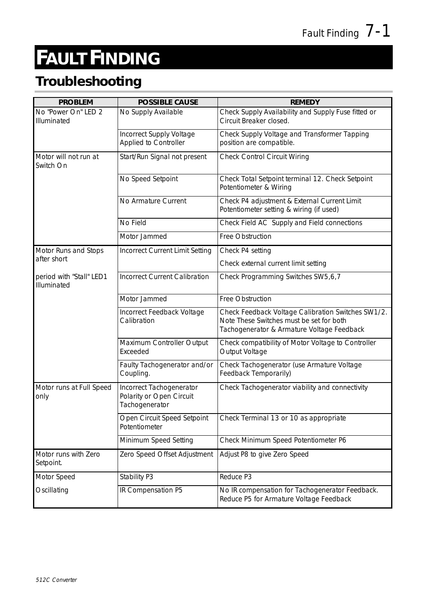# <sup>8</sup>**FAULT FINDING**

### **Troubleshooting**

| <b>PROBLEM</b>                          | <b>POSSIBLE CAUSE</b>                                                  | <b>REMEDY</b>                                                                                                                                |
|-----------------------------------------|------------------------------------------------------------------------|----------------------------------------------------------------------------------------------------------------------------------------------|
| No "Power On" LED 2<br>Illuminated      | No Supply Available                                                    | Check Supply Availability and Supply Fuse fitted or<br>Circuit Breaker closed.                                                               |
|                                         | Incorrect Supply Voltage<br>Applied to Controller                      | Check Supply Voltage and Transformer Tapping<br>position are compatible.                                                                     |
| Motor will not run at<br>Switch On      | Start/Run Signal not present                                           | <b>Check Control Circuit Wiring</b>                                                                                                          |
|                                         | No Speed Setpoint                                                      | Check Total Setpoint terminal 12. Check Setpoint<br>Potentiometer & Wiring                                                                   |
|                                         | No Armature Current                                                    | Check P4 adjustment & External Current Limit<br>Potentiometer setting & wiring (if used)                                                     |
|                                         | No Field                                                               | Check Field AC Supply and Field connections                                                                                                  |
|                                         | Motor Jammed                                                           | Free Obstruction                                                                                                                             |
| Motor Runs and Stops                    | Incorrect Current Limit Setting                                        | Check P4 setting                                                                                                                             |
| after short                             |                                                                        | Check external current limit setting                                                                                                         |
| period with "Stall" LED1<br>Illuminated | <b>Incorrect Current Calibration</b>                                   | Check Programming Switches SW5,6,7                                                                                                           |
|                                         | Motor Jammed                                                           | Free Obstruction                                                                                                                             |
|                                         | Incorrect Feedback Voltage<br>Calibration                              | Check Feedback Voltage Calibration Switches SW1/2.<br>Note These Switches must be set for both<br>Tachogenerator & Armature Voltage Feedback |
|                                         | Maximum Controller Output<br>Exceeded                                  | Check compatibility of Motor Voltage to Controller<br>Output Voltage                                                                         |
|                                         | Faulty Tachogenerator and/or<br>Coupling.                              | Check Tachogenerator (use Armature Voltage<br>Feedback Temporarily)                                                                          |
| Motor runs at Full Speed<br>only        | Incorrect Tachogenerator<br>Polarity or Open Circuit<br>Tachogenerator | Check Tachogenerator viability and connectivity                                                                                              |
|                                         | Open Circuit Speed Setpoint<br>Potentiometer                           | Check Terminal 13 or 10 as appropriate                                                                                                       |
|                                         | Minimum Speed Setting                                                  | Check Minimum Speed Potentiometer P6                                                                                                         |
| Motor runs with Zero<br>Setpoint.       | Zero Speed Offset Adjustment                                           | Adjust P8 to give Zero Speed                                                                                                                 |
| Motor Speed                             | Stability P3                                                           | Reduce P3                                                                                                                                    |
| Oscillating                             | IR Compensation P5                                                     | No IR compensation for Tachogenerator Feedback.<br>Reduce P5 for Armature Voltage Feedback                                                   |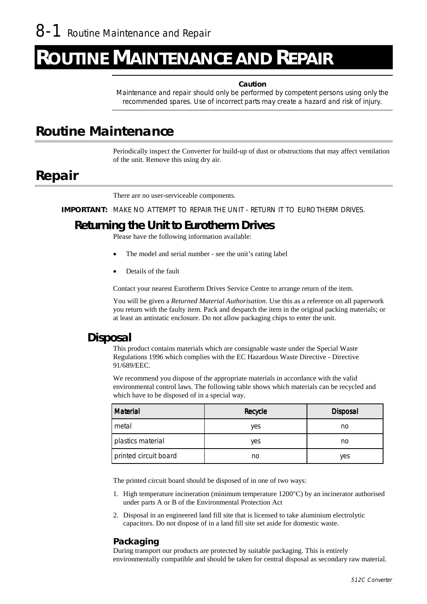# **DUTINE MAINTENANCE AND REPAIR**

#### **Caution**

Maintenance and repair should only be performed by competent persons using only the recommended spares. Use of incorrect parts may create a hazard and risk of injury.

### **Routine Maintenance**

Periodically inspect the Converter for build-up of dust or obstructions that may affect ventilation of the unit. Remove this using dry air.

### **Repair**

There are no user-serviceable components.

**IMPORTANT:** MAKE NO ATTEMPT TO REPAIR THE UNIT - RETURN IT TO EUROTHERM DRIVES.

#### **Returning the Unit to Eurotherm Drives**

Please have the following information available:

- The model and serial number see the unit's rating label
- Details of the fault

Contact your nearest Eurotherm Drives Service Centre to arrange return of the item.

You will be given a *Returned Material Authorisation.* Use this as a reference on all paperwork you return with the faulty item. Pack and despatch the item in the original packing materials; or at least an antistatic enclosure. Do not allow packaging chips to enter the unit.

#### **Disposal**

This product contains materials which are consignable waste under the Special Waste Regulations 1996 which complies with the EC Hazardous Waste Directive - Directive 91/689/EEC.

We recommend you dispose of the appropriate materials in accordance with the valid environmental control laws. The following table shows which materials can be recycled and which have to be disposed of in a special way.

| <b>Material</b>       | Recycle | <b>Disposal</b> |  |
|-----------------------|---------|-----------------|--|
| metal                 | yes     | no              |  |
| plastics material     | yes     | no              |  |
| printed circuit board | no      | yes             |  |

The printed circuit board should be disposed of in one of two ways:

- 1. High temperature incineration (minimum temperature  $1200^{\circ}$ C) by an incinerator authorised under parts A or B of the Environmental Protection Act
- 2. Disposal in an engineered land fill site that is licensed to take aluminium electrolytic capacitors. Do not dispose of in a land fill site set aside for domestic waste.

#### **Packaging**

During transport our products are protected by suitable packaging. This is entirely environmentally compatible and should be taken for central disposal as secondary raw material.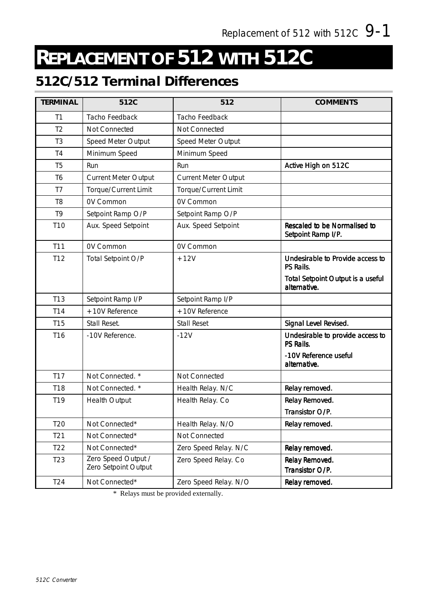# **REPLACEMENT OF 512 WITH 512C**

### **512C/512 Terminal Differences**

| <b>TERMINAL</b> | 512C                                        | 512                         | <b>COMMENTS</b>                                          |
|-----------------|---------------------------------------------|-----------------------------|----------------------------------------------------------|
| T1              | Tacho Feedback                              | Tacho Feedback              |                                                          |
| T <sub>2</sub>  | Not Connected                               | Not Connected               |                                                          |
| T <sub>3</sub>  | Speed Meter Output                          | Speed Meter Output          |                                                          |
| T4              | Minimum Speed                               | Minimum Speed               |                                                          |
| T <sub>5</sub>  | Run                                         | Run                         | Active High on 512C                                      |
| T6              | <b>Current Meter Output</b>                 | <b>Current Meter Output</b> |                                                          |
| T7              | Torque/Current Limit                        | Torque/Current Limit        |                                                          |
| T <sub>8</sub>  | <b>OV Common</b>                            | <b>OV Common</b>            |                                                          |
| T9              | Setpoint Ramp O/P                           | Setpoint Ramp O/P           |                                                          |
| T <sub>10</sub> | Aux. Speed Setpoint                         | Aux. Speed Setpoint         | Rescaled to be Normalised to<br>Setpoint Ramp I/P.       |
| T11             | <b>OV Common</b>                            | OV Common                   |                                                          |
| T12             | Total Setpoint O/P                          | $+12V$                      | Undesirable to Provide access to<br>PS Rails.            |
|                 |                                             |                             | <b>Total Setpoint Output is a useful</b><br>alternative. |
| T <sub>13</sub> | Setpoint Ramp I/P                           | Setpoint Ramp I/P           |                                                          |
| T14             | +10V Reference                              | +10V Reference              |                                                          |
| <b>T15</b>      | Stall Reset.                                | <b>Stall Reset</b>          | Signal Level Revised.                                    |
| T <sub>16</sub> | -10V Reference.                             | $-12V$                      | Undesirable to provide access to<br>PS Rails.            |
|                 |                                             |                             | -10V Reference useful<br>alternative.                    |
| T17             | Not Connected. *                            | Not Connected               |                                                          |
| T18             | Not Connected. *                            | Health Relay. N/C           | Relay removed.                                           |
| T19             | <b>Health Output</b>                        | Health Relay. Co            | Relay Removed.                                           |
|                 |                                             |                             | Transistor O/P.                                          |
| T <sub>20</sub> | Not Connected*                              | Health Relay. N/O           | Relay removed.                                           |
| T <sub>21</sub> | Not Connected*                              | Not Connected               |                                                          |
| T <sub>22</sub> | Not Connected*                              | Zero Speed Relay. N/C       | Relay removed.                                           |
| T <sub>23</sub> | Zero Speed Output /<br>Zero Setpoint Output | Zero Speed Relay. Co        | Relay Removed.<br>Transistor O/P.                        |
| T <sub>24</sub> | Not Connected*                              | Zero Speed Relay. N/O       | Relay removed.                                           |

\* Relays must be provided externally.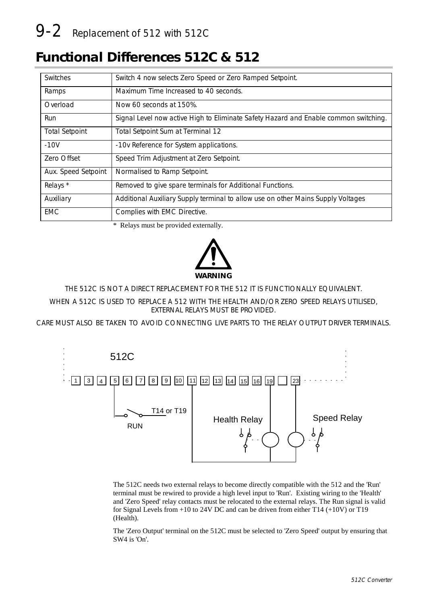# 9-2 Replacement of 512 with 512C

### **Functional Differences 512C & 512**

| Switches              | Switch 4 now selects Zero Speed or Zero Ramped Setpoint.                             |
|-----------------------|--------------------------------------------------------------------------------------|
| Ramps                 | Maximum Time Increased to 40 seconds.                                                |
| Overload              | Now 60 seconds at 150%.                                                              |
| Run                   | Signal Level now active High to Eliminate Safety Hazard and Enable common switching. |
| <b>Total Setpoint</b> | Total Setpoint Sum at Terminal 12                                                    |
| $-10V$                | -10v Reference for System applications.                                              |
| Zero Offset           | Speed Trim Adjustment at Zero Setpoint.                                              |
| Aux. Speed Setpoint   | Normalised to Ramp Setpoint.                                                         |
| Relays *              | Removed to give spare terminals for Additional Functions.                            |
| Auxiliary             | Additional Auxiliary Supply terminal to allow use on other Mains Supply Voltages     |
| <b>EMC</b>            | Complies with EMC Directive.                                                         |

\* Relays must be provided externally.



THE 512C IS NOT A DIRECT REPLACEMENT FOR THE 512 IT IS FUNCTIONALLY EQUIVALENT.

WHEN A 512C IS USED TO REPLACE A 512 WITH THE HEALTH AND/OR ZERO SPEED RELAYS UTILISED, EXTERNAL RELAYS MUST BE PROVIDED.

CARE MUST ALSO BE TAKEN TO AVOID CONNECTING LIVE PARTS TO THE RELAY OUTPUT DRIVER TERMINALS.



The 512C needs two external relays to become directly compatible with the 512 and the 'Run' terminal must be rewired to provide a high level input to 'Run'. Existing wiring to the 'Health' and 'Zero Speed' relay contacts must be relocated to the external relays. The Run signal is valid for Signal Levels from +10 to 24V DC and can be driven from either T14 (+10V) or T19 (Health).

The 'Zero Output' terminal on the 512C must be selected to 'Zero Speed' output by ensuring that SW4 is 'On'.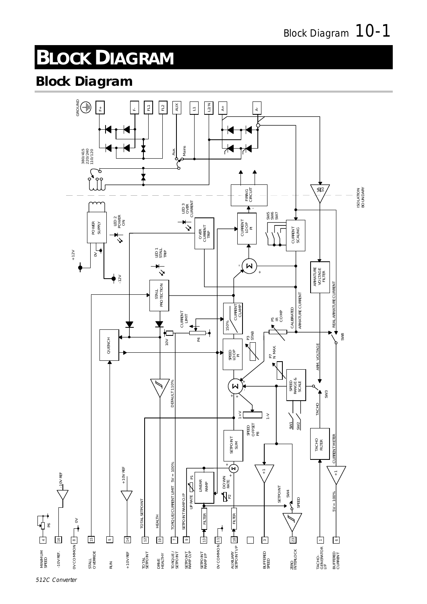# <sup>1</sup>**BLOCK DIAGRAM**

### **Block Diagram**



4

MINIMUM MINIMUM<br>SPEED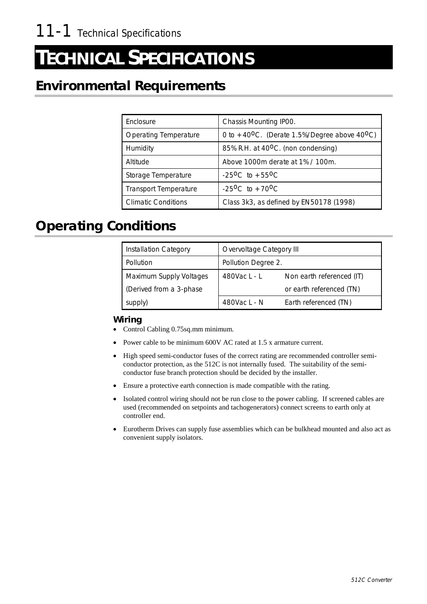# <sup>12</sup>**TECHNICAL SPECIFICATIONS**

### **Environmental Requirements**

| Enclosure                    | Chassis Mounting IP00.                                                |
|------------------------------|-----------------------------------------------------------------------|
| <b>Operating Temperature</b> | 0 to +40 <sup>o</sup> C. (Derate 1.5%/Degree above 40 <sup>o</sup> C) |
| Humidity                     | 85% R.H. at 40 <sup>o</sup> C. (non condensing)                       |
| Altitude                     | Above 1000m derate at 1% / 100m.                                      |
| Storage Temperature          | $-25^{\circ}$ C to $+55^{\circ}$ C                                    |
| <b>Transport Temperature</b> | $-25^{\circ}$ C to $+70^{\circ}$ C                                    |
| <b>Climatic Conditions</b>   | Class 3k3, as defined by EN50178 (1998)                               |

### **Operating Conditions**

| <b>Installation Category</b> | Overvoltage Category III                  |                       |  |
|------------------------------|-------------------------------------------|-----------------------|--|
| Pollution                    | Pollution Degree 2.                       |                       |  |
| Maximum Supply Voltages      | Non earth referenced (IT)<br>480Vac L - L |                       |  |
| (Derived from a 3-phase)     | or earth referenced (TN)                  |                       |  |
| supply)                      | 480Vac L - N                              | Earth referenced (TN) |  |

#### **Wiring**

- Control Cabling 0.75sq.mm minimum.
- Power cable to be minimum 600V AC rated at 1.5 x armature current.
- " High speed semi-conductor fuses of the correct rating are recommended controller semiconductor protection, as the 512C is not internally fused. The suitability of the semiconductor fuse branch protection should be decided by the installer.
- Ensure a protective earth connection is made compatible with the rating.
- Isolated control wiring should not be run close to the power cabling. If screened cables are used (recommended on setpoints and tachogenerators) connect screens to earth only at controller end.
- Eurotherm Drives can supply fuse assemblies which can be bulkhead mounted and also act as convenient supply isolators.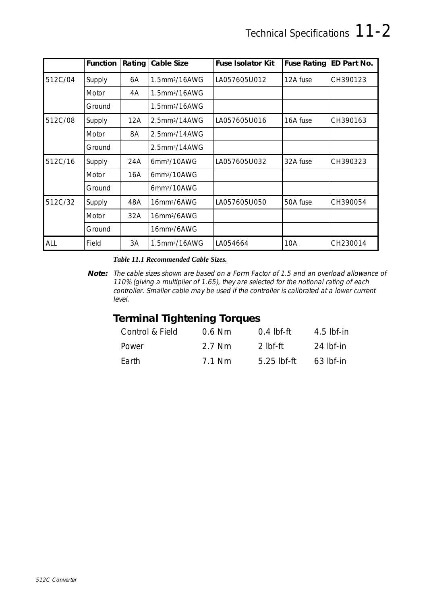|         | Function | Rating | <b>Cable Size</b>            | <b>Fuse Isolator Kit</b> | <b>Fuse Rating</b> | <b>ED Part No.</b> |
|---------|----------|--------|------------------------------|--------------------------|--------------------|--------------------|
| 512C/04 | Supply   | 6A     | 1.5mm <sup>2</sup> /16AWG    | LA057605U012             | 12A fuse           | CH390123           |
|         | Motor    | 4A     | 1.5mm <sup>2</sup> /16AWG    |                          |                    |                    |
|         | Ground   |        | 1.5mm <sup>2</sup> /16AWG    |                          |                    |                    |
| 512C/08 | Supply   | 12A    | $2.5$ mm $^{2}/14$ AWG       | LA057605U016             | 16A fuse           | CH390163           |
|         | Motor    | 8A     | $2.5$ mm <sup>2</sup> /14AWG |                          |                    |                    |
|         | Ground   |        | 2.5mm <sup>2</sup> /14AWG    |                          |                    |                    |
| 512C/16 | Supply   | 24A    | 6mm <sup>2</sup> /10AWG      | LA057605U032             | 32A fuse           | CH390323           |
|         | Motor    | 16A    | 6mm <sup>2</sup> /10AWG      |                          |                    |                    |
|         | Ground   |        | 6mm <sup>2</sup> /10AWG      |                          |                    |                    |
| 512C/32 | Supply   | 48A    | 16mm <sup>2</sup> /6AWG      | LA057605U050             | 50A fuse           | CH390054           |
|         | Motor    | 32A    | 16mm <sup>2</sup> /6AWG      |                          |                    |                    |
|         | Ground   |        | 16mm <sup>2</sup> /6AWG      |                          |                    |                    |
| ALL     | Field    | 3A     | 1.5mm <sup>2</sup> /16AWG    | LA054664                 | 10A                | CH230014           |

#### *Table 11.1 Recommended Cable Sizes.*

### **Terminal Tightening Torques**

| Control & Field | $0.6$ Nm | $0.4$ lbf-ft | $4.5$ lbf-in |
|-----------------|----------|--------------|--------------|
| Power           | 2.7 Nm   | 2 Ibf-ff     | 24 lbf-in    |
| Earth           | 7.1 Nm   | 5.25 lbf-ft  | $63$ lbf-in  |

**Note:** The cable sizes shown are based on a Form Factor of 1.5 and an overload allowance of 110% (giving a multiplier of 1.65), they are selected for the notional rating of each controller. Smaller cable may be used if the controller is calibrated at a lower current level.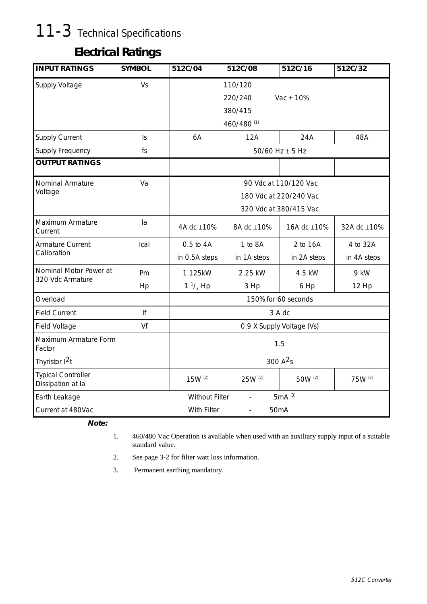# 11-3 Technical Specifications

### **Electrical Ratings**

| <b>INPUT RATINGS</b>                           | <b>SYMBOL</b>  | 512C/04                                           | 512C/08                                                                   | 512C/16                   | 512C/32                 |  |  |
|------------------------------------------------|----------------|---------------------------------------------------|---------------------------------------------------------------------------|---------------------------|-------------------------|--|--|
| Supply Voltage                                 | Vs             |                                                   | 110/120<br>Vac $\pm$ 10%<br>220/240<br>380/415<br>460/480 (1)             |                           |                         |  |  |
| Supply Current                                 | $\mathsf{I}$ s | 6A                                                | 12A                                                                       | 24A                       | 48A                     |  |  |
| <b>Supply Frequency</b>                        | fs             |                                                   |                                                                           | 50/60 Hz $\pm$ 5 Hz       |                         |  |  |
| <b>OUTPUT RATINGS</b>                          |                |                                                   |                                                                           |                           |                         |  |  |
| Nominal Armature<br>Voltage                    | Va             |                                                   | 90 Vdc at 110/120 Vac<br>180 Vdc at 220/240 Vac<br>320 Vdc at 380/415 Vac |                           |                         |  |  |
| Maximum Armature<br>Current                    | la             | 4A dc ±10%                                        | 8A dc ±10%                                                                | 16A dc ±10%               | 32A dc ±10%             |  |  |
| Armature Current<br>Calibration                | Ical           | 0.5 to 4A<br>in 0.5A steps                        | 1 to 8A<br>in 1A steps                                                    | 2 to 16A<br>in 2A steps   | 4 to 32A<br>in 4A steps |  |  |
| Nominal Motor Power at<br>320 Vdc Armature     | Pm<br>Hp       | 1.125kW<br>$1 \frac{1}{2}$ Hp                     | 2.25 kW<br>3 Hp                                                           | 4.5 kW<br>6 Hp            | 9 kW<br>12 Hp           |  |  |
| Overload                                       |                |                                                   |                                                                           | 150% for 60 seconds       |                         |  |  |
| <b>Field Current</b>                           | lf             |                                                   |                                                                           | 3 A dc                    |                         |  |  |
| Field Voltage                                  | Vf             |                                                   |                                                                           | 0.9 X Supply Voltage (Vs) |                         |  |  |
| Maximum Armature Form<br>Factor                |                | 1.5                                               |                                                                           |                           |                         |  |  |
| Thyristor 1 <sup>2</sup> t                     |                | 300 A <sup>2</sup> s                              |                                                                           |                           |                         |  |  |
| <b>Typical Controller</b><br>Dissipation at la |                | $15W^{(2)}$                                       | 25W (2)                                                                   | 50W (2)                   | 75W (2)                 |  |  |
| Earth Leakage                                  |                | 5mA (3)<br><b>Without Filter</b><br>$\frac{1}{2}$ |                                                                           |                           |                         |  |  |
| Current at 480Vac                              |                | With Filter                                       | 50mA                                                                      |                           |                         |  |  |

**Note:**

- 1. 460/480 Vac Operation is available when used with an auxiliary supply input of a suitable standard value.
- 2. See page 3-2 for filter watt loss information.
- 3. Permanent earthing mandatory.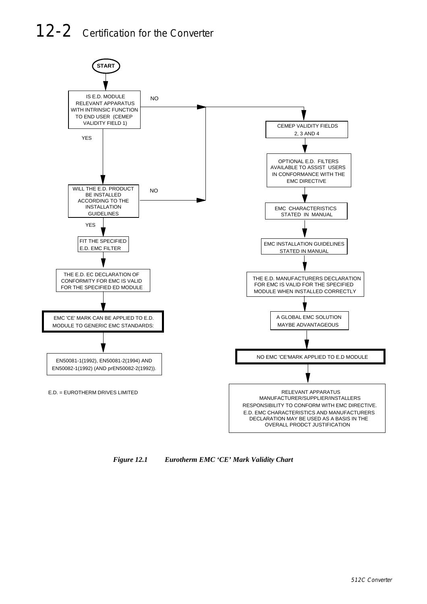# 12-2 Certification for the Converter



*Figure 12.1 Eurotherm EMC 'CE' Mark Validity Chart*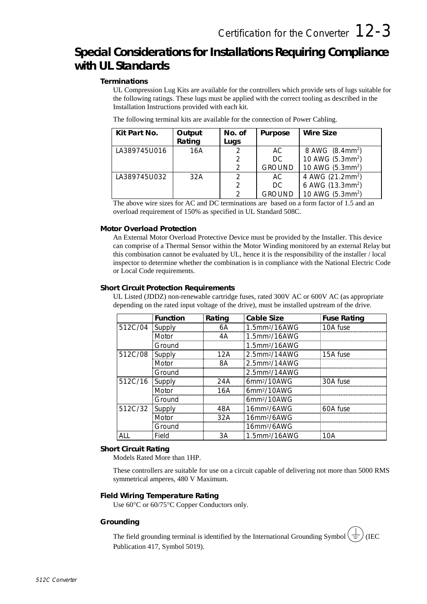2 | GROUND | 10 AWG (5.3mm<sup>2</sup>)

### **Special Considerations for Installations Requiring Compliance with UL Standards**

#### **Terminations**

UL Compression Lug Kits are available for the controllers which provide sets of lugs suitable for the following ratings. These lugs must be applied with the correct tooling as described in the Installation Instructions provided with each kit.

| Kit Part No. | Output | No. of | Purpose       | Wire Size                    |
|--------------|--------|--------|---------------|------------------------------|
|              | Rating | Lugs   |               |                              |
| LA389745U016 | 16A    |        | AC.           | 8 AWG (8.4mm <sup>2</sup> )  |
|              |        |        | DC.           | 10 AWG (5.3mm <sup>2</sup> ) |
|              |        |        | <b>GROUND</b> | 10 AWG (5.3mm <sup>2</sup> ) |
| LA389745U032 | 32A    |        | AC.           | 4 AWG (21.2mm <sup>2</sup> ) |
|              |        |        | DC.           | 6 AWG (13.3mm <sup>2</sup> ) |

The following terminal kits are available for the connection of Power Cabling.

The above wire sizes for AC and DC terminations are based on a form factor of 1.5 and an overload requirement of 150% as specified in UL Standard 508C.

#### **Motor Overload Protection**

An External Motor Overload Protective Device must be provided by the Installer. This device can comprise of a Thermal Sensor within the Motor Winding monitored by an external Relay but this combination cannot be evaluated by UL, hence it is the responsibility of the installer / local inspector to determine whether the combination is in compliance with the National Electric Code or Local Code requirements.

#### **Short Circuit Protection Requirements**

UL Listed (JDDZ) non-renewable cartridge fuses, rated 300V AC or 600V AC (as appropriate depending on the rated input voltage of the drive), must be installed upstream of the drive.

|         | <b>Function</b> | Rating | Cable Size                   | <b>Fuse Rating</b> |
|---------|-----------------|--------|------------------------------|--------------------|
| 512C/04 | Supply          | 6А     | 1.5mm <sup>2</sup> /16AWG    | 10A fuse           |
|         | Motor           | 4Α     | 1.5mm <sup>2</sup> /16AWG    |                    |
|         | Ground          |        | $1.5$ mm <sup>2</sup> /16AWG |                    |
| 512C/08 | Supply          | 12A    | 2.5mm <sup>2</sup> /14AWG    | 15A fuse           |
|         | Motor           | 8А     | 2.5mm <sup>2</sup> /14AWG    |                    |
|         | Ground          |        | 2.5mm <sup>2</sup> /14AWG    |                    |
| 512C/16 | Supply          | 24A    | 6mm <sup>2</sup> /10AWG      | 30A fuse           |
|         | Motor           | 16A    | 6mm <sup>2</sup> /10AWG      |                    |
|         | Ground          |        | 6mm <sup>2</sup> /10AWG      |                    |
| 512C/32 | Supply          | 48A    | 16mm <sup>2</sup> /6AWG      | 60A fuse           |
|         | Motor           | 32A    | 16mm <sup>2</sup> /6AWG      |                    |
|         | Ground          |        | 16mm <sup>2</sup> /6AWG      |                    |
| ALI     | Field           | ЗA     | 1.5mm <sup>2</sup> /16AWG    | 10A                |

#### **Short Circuit Rating**

Models Rated More than 1HP.

These controllers are suitable for use on a circuit capable of delivering not more than 5000 RMS symmetrical amperes, 480 V Maximum.

#### **Field Wiring Temperature Rating**

Use  $60^{\circ}$ C or  $60/75^{\circ}$ C Copper Conductors only.

#### **Grounding**

The field grounding terminal is identified by the International Grounding Symbol  $(\frac{1}{\pm})$  (IEC Publication 417, Symbol 5019).